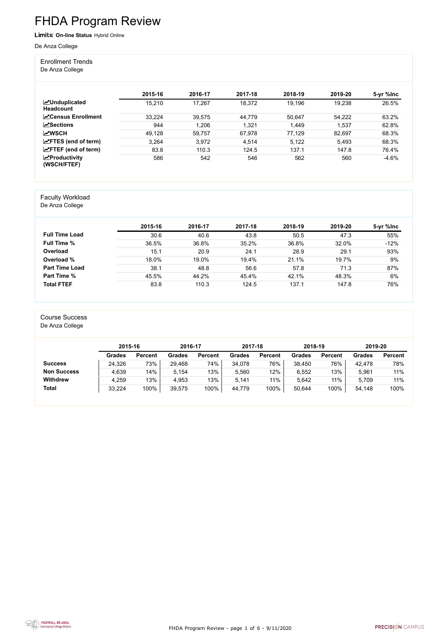FHDA Program Review - page 1 of 6 - 9/11/2020



# FHDA Program Review

Limits: **On-line Status** Hybrid Online

#### De Anza College

Enrollment Trends

De Anza College

|                                          | 2015-16 | 2016-17 | 2017-18 | 2018-19 | 2019-20 | 5-yr %lnc |
|------------------------------------------|---------|---------|---------|---------|---------|-----------|
| <b>MUnduplicated</b><br><b>Headcount</b> | 15,210  | 17,267  | 18,372  | 19,196  | 19,238  | 26.5%     |
| <b>N</b> Census Enrollment               | 33,224  | 39,575  | 44,779  | 50,647  | 54,222  | 63.2%     |
| $\sqrt{S}$ ections                       | 944     | 1,206   | 1,321   | 1,449   | 1,537   | 62.8%     |
| <b>MWSCH</b>                             | 49,128  | 59,757  | 67,978  | 77,129  | 82,697  | 68.3%     |
| $\angle$ FTES (end of term)              | 3,264   | 3,972   | 4,514   | 5,122   | 5.493   | 68.3%     |
| $\angle$ FTEF (end of term)              | 83.8    | 110.3   | 124.5   | 137.1   | 147.8   | 76.4%     |
| $\mathbf{z}$ Productivity<br>(WSCH/FTEF) | 586     | 542     | 546     | 562     | 560     | $-4.6%$   |

#### Faculty Workload

De Anza College

|                       | 2015-16 | 2016-17 | 2017-18 | 2018-19 | 2019-20 | 5-yr %lnc |
|-----------------------|---------|---------|---------|---------|---------|-----------|
| <b>Full Time Load</b> | 30.6    | 40.6    | 43.8    | 50.5    | 47.3    | 55%       |
| <b>Full Time %</b>    | 36.5%   | 36.8%   | 35.2%   | 36.8%   | 32.0%   | $-12%$    |
| Overload              | 15.1    | 20.9    | 24.1    | 28.9    | 29.1    | 93%       |
| Overload %            | 18.0%   | 19.0%   | 19.4%   | 21.1%   | 19.7%   | 9%        |
| <b>Part Time Load</b> | 38.1    | 48.8    | 56.6    | 57.8    | 71.3    | 87%       |
| <b>Part Time %</b>    | 45.5%   | 44.2%   | 45.4%   | 42.1%   | 48.3%   | 6%        |
| <b>Total FTEF</b>     | 83.8    | 110.3   | 124.5   | 137.1   | 147.8   | 76%       |

#### Course Success

De Anza College

|                    | 2015-16       |                | 2016-17 |                | 2017-18 |                | 2018-19       |                | 2019-20 |                |
|--------------------|---------------|----------------|---------|----------------|---------|----------------|---------------|----------------|---------|----------------|
|                    | <b>Grades</b> | <b>Percent</b> | Grades  | <b>Percent</b> | Grades  | <b>Percent</b> | <b>Grades</b> | <b>Percent</b> | Grades  | <b>Percent</b> |
| <b>Success</b>     | 24,326        | 73%            | 29,468  | 74%            | 34,078  | 76%            | 38,450        | 76%            | 42,478  | 78%            |
| <b>Non Success</b> | 4,639         | 14%            | 5.154   | 13%            | 5,560   | 12%            | 6,552         | 13%            | 5,961   | 11%            |
| <b>Withdrew</b>    | 4,259         | 13%            | 4,953   | 13%            | 5,141   | 11%            | 5,642         | 11%            | 5,709   | 11%            |
| <b>Total</b>       | 33,224        | 100%           | 39,575  | 100%           | 44,779  | 100%           | 50,644        | 100%           | 54,148  | 100%           |

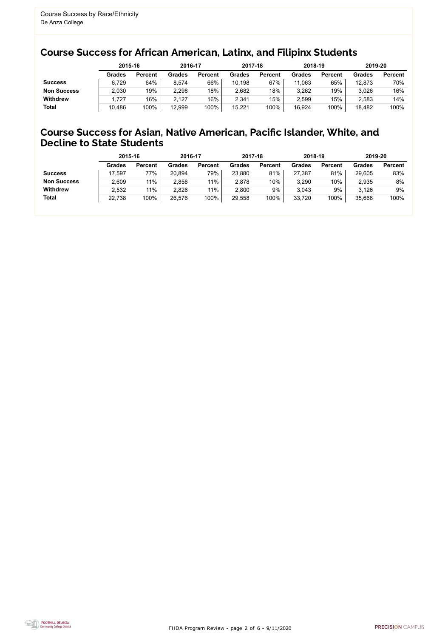FHDA Program Review - page 2 of 6 - 9/11/2020



### Course Success for African American, Latinx, and Filipinx Students

### Course Success for Asian, Native American, Pacific Islander, White, and Decline to State Students

|                    |               | 2015-16        |               | 2016-17        |               | 2017-18        | 2018-19       |                | 2019-20 |                |
|--------------------|---------------|----------------|---------------|----------------|---------------|----------------|---------------|----------------|---------|----------------|
|                    | <b>Grades</b> | <b>Percent</b> | <b>Grades</b> | <b>Percent</b> | <b>Grades</b> | <b>Percent</b> | <b>Grades</b> | <b>Percent</b> | Grades  | <b>Percent</b> |
| <b>Success</b>     | 6,729         | 64%            | 8,574         | 66%            | 10,198        | 67%            | 11,063        | 65%            | 12,873  | 70%            |
| <b>Non Success</b> | 2,030         | 19%            | 2,298         | 18%            | 2,682         | 18%            | 3,262         | 19%            | 3,026   | 16%            |
| <b>Withdrew</b>    | .727          | 16%            | 2,127         | 16%            | 2,341         | 15%            | 2,599         | 15%            | 2,583   | 14%            |
| <b>Total</b>       | 10,486        | 100%           | 12,999        | 100%           | 15,221        | 100%           | 16,924        | 100%           | 18,482  | 100%           |

|                    | 2015-16       |                | 2016-17       |                | 2017-18       |                | 2018-19       |                | 2019-20       |                |
|--------------------|---------------|----------------|---------------|----------------|---------------|----------------|---------------|----------------|---------------|----------------|
|                    | <b>Grades</b> | <b>Percent</b> | <b>Grades</b> | <b>Percent</b> | <b>Grades</b> | <b>Percent</b> | <b>Grades</b> | <b>Percent</b> | <b>Grades</b> | <b>Percent</b> |
| <b>Success</b>     | 17,597        | 77%            | 20,894        | 79%            | 23,880        | 81%            | 27,387        | 81%            | 29,605        | 83%            |
| <b>Non Success</b> | 2,609         | 11%            | 2,856         | 11%            | 2,878         | 10%            | 3,290         | 10%            | 2,935         | 8%             |
| <b>Withdrew</b>    | 2,532         | 11%            | 2,826         | 11%            | 2,800         | 9%             | 3,043         | 9%             | 3,126         | 9%             |
| <b>Total</b>       | 22,738        | 100%           | 26,576        | 100%           | 29,558        | 100%           | 33,720        | 100%           | 35,666        | 100%           |
|                    |               |                |               |                |               |                |               |                |               |                |

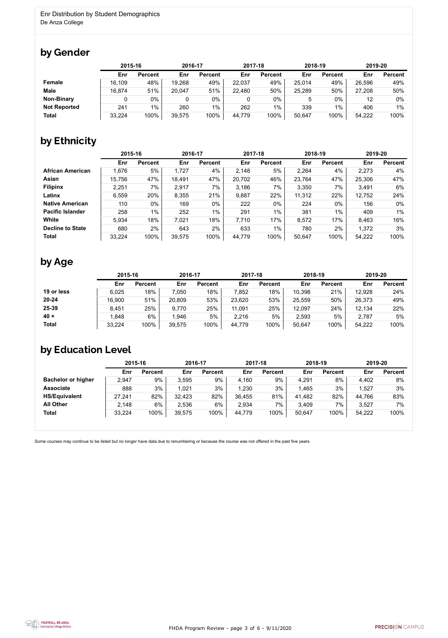FHDA Program Review - page 3 of 6 - 9/11/2020



Some courses may continue to be listed but no longer have data due to renumbering or because the course was not offered in the past five years.



## by Gender

|                     | 2015-16 |                | 2016-17 |                | 2017-18 |                | 2018-19 |                | 2019-20 |                |
|---------------------|---------|----------------|---------|----------------|---------|----------------|---------|----------------|---------|----------------|
|                     | Enr     | <b>Percent</b> | Enr     | <b>Percent</b> | Enr     | <b>Percent</b> | Enr     | <b>Percent</b> | Enr     | <b>Percent</b> |
| Female              | 16,109  | 48%            | 19,268  | 49%            | 22,037  | 49%            | 25,014  | 49%            | 26,596  | 49%            |
| <b>Male</b>         | 16,874  | 51%            | 20,047  | 51%            | 22,480  | 50%            | 25,289  | 50%            | 27,208  | 50%            |
| <b>Non-Binary</b>   |         | 0%             |         | 0%             | 0       | 0%             | 5       | $0\%$          | 12      | $0\%$          |
| <b>Not Reported</b> | 241     | $1\%$          | 260     | $1\%$          | 262     | $1\%$          | 339     | $1\%$          | 406     | 1%             |
| <b>Total</b>        | 33,224  | 100%           | 39,575  | 100%           | 44,779  | 100%           | 50,647  | 100%           | 54,222  | 100%           |

## by Ethnicity

|                         |        | 2015-16        |        | 2016-17        |        | 2017-18        | 2018-19 |                | 2019-20 |                |
|-------------------------|--------|----------------|--------|----------------|--------|----------------|---------|----------------|---------|----------------|
|                         | Enr    | <b>Percent</b> | Enr    | <b>Percent</b> | Enr    | <b>Percent</b> | Enr     | <b>Percent</b> | Enr     | <b>Percent</b> |
| <b>African American</b> | 1,676  | 5%             | 1,727  | 4%             | 2,148  | 5%             | 2,264   | 4%             | 2,273   | 4%             |
| Asian                   | 15,756 | 47%            | 18,491 | 47%            | 20,702 | 46%            | 23,764  | 47%            | 25,306  | 47%            |
| <b>Filipinx</b>         | 2,251  | 7%             | 2,917  | 7%             | 3,186  | 7%             | 3,350   | 7%             | 3,491   | 6%             |
| Latinx                  | 6,559  | 20%            | 8,355  | 21%            | 9,887  | 22%            | 11,312  | 22%            | 12,752  | 24%            |
| <b>Native American</b>  | 110    | $0\%$          | 169    | 0%             | 222    | 0%             | 224     | $0\%$          | 156     | $0\%$          |
| <b>Pacific Islander</b> | 258    | $1\%$          | 252    | 1%             | 291    | $1\%$          | 381     | $1\%$          | 409     | $1\%$          |
| White                   | 5,934  | 18%            | 7,021  | 18%            | 7,710  | 17%            | 8,572   | 17%            | 8,463   | 16%            |
| <b>Decline to State</b> | 680    | 2%             | 643    | 2%             | 633    | $1\%$          | 780     | 2%             | 1,372   | 3%             |
| <b>Total</b>            | 33,224 | 100%           | 39,575 | 100%           | 44,779 | 100%           | 50,647  | 100%           | 54,222  | 100%           |

### by Age

|              | 2015-16 |                | 2016-17 |                | 2017-18 |                | 2018-19 |                | 2019-20 |                |
|--------------|---------|----------------|---------|----------------|---------|----------------|---------|----------------|---------|----------------|
|              | Enr     | <b>Percent</b> | Enr     | <b>Percent</b> | Enr     | <b>Percent</b> | Enr     | <b>Percent</b> | Enr     | <b>Percent</b> |
| 19 or less   | 6,025   | 18%            | 7,050   | 18%            | 7,852   | 18%            | 10,398  | 21%            | 12,928  | 24%            |
| $20 - 24$    | 16,900  | 51%            | 20,809  | 53%            | 23,620  | 53%            | 25,559  | 50%            | 26,373  | 49%            |
| 25-39        | 8,451   | 25%            | 9,770   | 25%            | 11,091  | 25%            | 12,097  | 24%            | 12,134  | 22%            |
| $40 +$       | .848    | 6%             | 1.946   | 5%             | 2,216   | 5%             | 2,593   | 5%             | 2,787   | 5%             |
| <b>Total</b> | 33,224  | 100%           | 39,575  | 100%           | 44,779  | 100%           | 50,647  | 100%           | 54,222  | 100%           |

## by Education Level

|                           | 2015-16 |                | 2016-17 |                | 2017-18 |                | 2018-19 |                | 2019-20 |                |
|---------------------------|---------|----------------|---------|----------------|---------|----------------|---------|----------------|---------|----------------|
|                           | Enr     | <b>Percent</b> | Enr     | <b>Percent</b> | Enr     | <b>Percent</b> | Enr     | <b>Percent</b> | Enr     | <b>Percent</b> |
| <b>Bachelor or higher</b> | 2,947   | 9%             | 3,595   | 9%             | 4,160   | 9%             | 4,291   | 8%             | 4,402   | 8%             |
| <b>Associate</b>          | 888     | 3%             | 1,021   | 3%             | .230    | 3%             | 1,465   | 3%             | 1,527   | 3%             |
| <b>HS/Equivalent</b>      | 27,241  | 82%            | 32,423  | 82%            | 36,455  | 81%            | 41,482  | 82%            | 44,766  | 83%            |
| <b>All Other</b>          | 2,148   | 6%             | 2,536   | 6%             | 2,934   | 7%             | 3,409   | 7%             | 3,527   | 7%             |
| <b>Total</b>              | 33,224  | 100%           | 39,575  | 100%           | 44,779  | 100%           | 50,647  | 100%           | 54,222  | 100%           |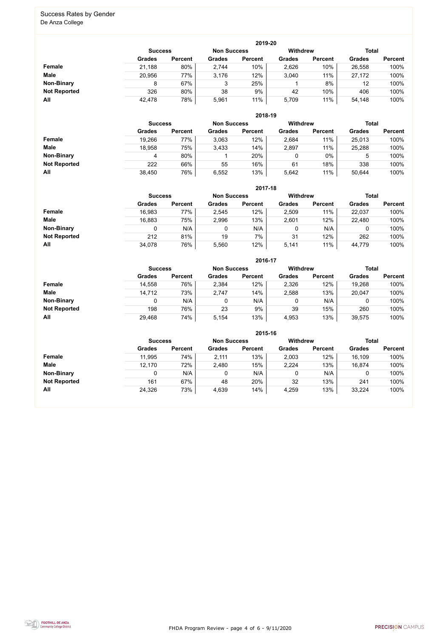FHDA Program Review - page 4 of 6 - 9/11/2020



#### Success Rates by Gender De Anza College

|                     |                |                |                    | 2019-20        |                 |                |               |                |
|---------------------|----------------|----------------|--------------------|----------------|-----------------|----------------|---------------|----------------|
|                     | <b>Success</b> |                | <b>Non Success</b> |                | <b>Withdrew</b> |                | <b>Total</b>  |                |
|                     | <b>Grades</b>  | <b>Percent</b> | <b>Grades</b>      | <b>Percent</b> | <b>Grades</b>   | <b>Percent</b> | <b>Grades</b> | <b>Percent</b> |
| <b>Female</b>       | 21,188         | 80%            | 2,744              | 10%            | 2,626           | 10%            | 26,558        | 100%           |
| <b>Male</b>         | 20,956         | 77%            | 3.176              | 12%            | 3,040           | 11%            | 27,172        | 100%           |
| <b>Non-Binary</b>   | 8              | 67%            | 3                  | 25%            |                 | 8%             | 12            | 100%           |
| <b>Not Reported</b> | 326            | 80%            | 38                 | 9%             | 42              | 10%            | 406           | 100%           |
| All                 | 42,478         | 78%            | 5,961              | $11\%$         | 5,709           | 11%            | 54,148        | 100%           |

|                     | 2018-19       |                                      |               |                |               |                |               |                |  |  |  |  |
|---------------------|---------------|--------------------------------------|---------------|----------------|---------------|----------------|---------------|----------------|--|--|--|--|
|                     |               | <b>Non Success</b><br><b>Success</b> |               |                |               |                | <b>Total</b>  |                |  |  |  |  |
|                     | <b>Grades</b> | <b>Percent</b>                       | <b>Grades</b> | <b>Percent</b> | <b>Grades</b> | <b>Percent</b> | <b>Grades</b> | <b>Percent</b> |  |  |  |  |
| <b>Female</b>       | 19,266        | 77%                                  | 3,063         | 12%            | 2,684         | 11%            | 25,013        | 100%           |  |  |  |  |
| <b>Male</b>         | 18,958        | 75%                                  | 3,433         | 14%            | 2,897         | 11%            | 25,288        | 100%           |  |  |  |  |
| <b>Non-Binary</b>   | 4             | 80%                                  |               | 20%            | 0             | $0\%$          | 5             | 100%           |  |  |  |  |
| <b>Not Reported</b> | 222           | 66%                                  | 55            | 16%            | 61            | 18%            | 338           | 100%           |  |  |  |  |
| All                 | 38,450        | 76%                                  | 6,552         | 13%            | 5,642         | 11%            | 50,644        | 100%           |  |  |  |  |

|                     |               | 2017-18                                                                 |               |                |               |                |               |                |  |  |  |  |  |
|---------------------|---------------|-------------------------------------------------------------------------|---------------|----------------|---------------|----------------|---------------|----------------|--|--|--|--|--|
|                     |               | <b>Withdrew</b><br><b>Total</b><br><b>Non Success</b><br><b>Success</b> |               |                |               |                |               |                |  |  |  |  |  |
|                     | <b>Grades</b> | <b>Percent</b>                                                          | <b>Grades</b> | <b>Percent</b> | <b>Grades</b> | <b>Percent</b> | <b>Grades</b> | <b>Percent</b> |  |  |  |  |  |
| Female              | 16,983        | 77%                                                                     | 2,545         | 12%            | 2,509         | 11%            | 22,037        | 100%           |  |  |  |  |  |
| <b>Male</b>         | 16,883        | 75%                                                                     | 2,996         | 13%            | 2,601         | 12%            | 22,480        | 100%           |  |  |  |  |  |
| <b>Non-Binary</b>   | 0             | N/A                                                                     |               | N/A            | 0             | N/A            | 0             | 100%           |  |  |  |  |  |
| <b>Not Reported</b> | 212           | 81%                                                                     | 19            | 7%             | 31            | 12%            | 262           | 100%           |  |  |  |  |  |
| All                 | 34,078        | 76%                                                                     | 5,560         | 12%            | 5,141         | 11%            | 44,779        | 100%           |  |  |  |  |  |

|                     |                |                |                    | 2016-17        |                 |                |               |                |
|---------------------|----------------|----------------|--------------------|----------------|-----------------|----------------|---------------|----------------|
|                     | <b>Success</b> |                | <b>Non Success</b> |                | <b>Withdrew</b> |                | <b>Total</b>  |                |
|                     | <b>Grades</b>  | <b>Percent</b> | <b>Grades</b>      | <b>Percent</b> | <b>Grades</b>   | <b>Percent</b> | <b>Grades</b> | <b>Percent</b> |
| Female              | 14,558         | 76%            | 2,384              | 12%            | 2,326           | 12%            | 19,268        | 100%           |
| <b>Male</b>         | 14,712         | 73%            | 2,747              | 14%            | 2,588           | 13%            | 20,047        | 100%           |
| <b>Non-Binary</b>   | 0              | N/A            |                    | N/A            | 0               | N/A            |               | 100%           |
| <b>Not Reported</b> | 198            | 76%            | 23                 | 9%             | 39              | 15%            | 260           | 100%           |
| All                 | 29,468         | 74%            | 5,154              | 13%            | 4,953           | 13%            | 39,575        | 100%           |

|                     |               | 2015-16                                                 |               |                |               |                |               |                |  |  |
|---------------------|---------------|---------------------------------------------------------|---------------|----------------|---------------|----------------|---------------|----------------|--|--|
|                     |               | <b>Withdrew</b><br><b>Non Success</b><br><b>Success</b> |               |                |               |                |               |                |  |  |
|                     | <b>Grades</b> | <b>Percent</b>                                          | <b>Grades</b> | <b>Percent</b> | <b>Grades</b> | <b>Percent</b> | <b>Grades</b> | <b>Percent</b> |  |  |
| Female              | 11,995        | 74%                                                     | 2,111         | 13%            | 2,003         | 12%            | 16,109        | 100%           |  |  |
| <b>Male</b>         | 12,170        | 72%                                                     | 2,480         | 15%            | 2,224         | 13%            | 16,874        | 100%           |  |  |
| <b>Non-Binary</b>   |               | N/A                                                     | 0             | N/A            |               | N/A            | ັ             | 100%           |  |  |
| <b>Not Reported</b> | 161           | 67%                                                     | 48            | 20%            | 32            | 13%            | 241           | 100%           |  |  |
| All                 | 24,326        | 73%                                                     | 4,639         | 14%            | 4,259         | 13%            | 33,224        | 100%           |  |  |

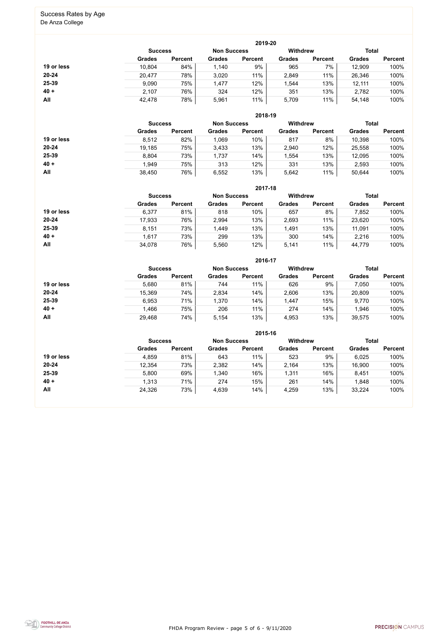FHDA Program Review - page 5 of 6 - 9/11/2020



# Success Rates by Age

De Anza College

|            |                |                    |               | 2019-20         |               |                |               |                |
|------------|----------------|--------------------|---------------|-----------------|---------------|----------------|---------------|----------------|
|            | <b>Success</b> | <b>Non Success</b> |               | <b>Withdrew</b> |               | <b>Total</b>   |               |                |
|            | <b>Grades</b>  | <b>Percent</b>     | <b>Grades</b> | <b>Percent</b>  | <b>Grades</b> | <b>Percent</b> | <b>Grades</b> | <b>Percent</b> |
| 19 or less | 10,804         | 84%                | 1,140         | 9%              | 965           | 7%             | 12,909        | 100%           |
| $20 - 24$  | 20,477         | 78%                | 3,020         | 11%             | 2,849         | 11%            | 26,346        | 100%           |
| 25-39      | 9,090          | 75%                | 1,477         | 12%             | 1,544         | 13%            | 12,111        | 100%           |
| $40 +$     | 2,107          | 76%                | 324           | 12%             | 351           | 13%            | 2,782         | 100%           |
| All        | 42,478         | 78%                | 5,961         | 11%             | 5,709         | 11%            | 54,148        | 100%           |

|            |                |                    |               | 2018-19         |               |                |               |                |
|------------|----------------|--------------------|---------------|-----------------|---------------|----------------|---------------|----------------|
|            | <b>Success</b> | <b>Non Success</b> |               | <b>Withdrew</b> |               | <b>Total</b>   |               |                |
|            | <b>Grades</b>  | <b>Percent</b>     | <b>Grades</b> | <b>Percent</b>  | <b>Grades</b> | <b>Percent</b> | <b>Grades</b> | <b>Percent</b> |
| 19 or less | 8,512          | 82%                | 1,069         | 10%             | 817           | 8%             | 10,398        | 100%           |
| $20 - 24$  | 19,185         | 75%                | 3.433         | 13%             | 2,940         | 12%            | 25,558        | 100%           |
| 25-39      | 8,804          | 73%                | 1,737         | 14%             | 1,554         | 13%            | 12,095        | 100%           |
| $40 +$     | 1,949          | 75%                | 313           | 12%             | 331           | 13%            | 2,593         | 100%           |
| All        | 38,450         | 76%                | 6,552         | 13%             | 5,642         | 11%            | 50,644        | 100%           |

|            |                |                |                    | 2017-18        |                 |                |               |                |
|------------|----------------|----------------|--------------------|----------------|-----------------|----------------|---------------|----------------|
|            | <b>Success</b> |                | <b>Non Success</b> |                | <b>Withdrew</b> |                | <b>Total</b>  |                |
|            | <b>Grades</b>  | <b>Percent</b> | <b>Grades</b>      | <b>Percent</b> | <b>Grades</b>   | <b>Percent</b> | <b>Grades</b> | <b>Percent</b> |
| 19 or less | 6,377          | 81%            | 818                | 10%            | 657             | 8%             | 7,852         | 100%           |
| $20 - 24$  | 17,933         | 76%            | 2,994              | 13%            | 2,693           | 11%            | 23,620        | 100%           |
| $25 - 39$  | 8.151          | 73%            | 1,449              | 13%            | 1,491           | 13%            | 11,091        | 100%           |
| $40 +$     | 1.617          | 73%            | 299                | 13%            | 300             | 14%            | 2,216         | 100%           |
| All        | 34,078         | 76%            | 5,560              | 12%            | 5,141           | 11%            | 44,779        | 100%           |

|            | 2016-17        |                    |               |                 |               |                |               |                |  |
|------------|----------------|--------------------|---------------|-----------------|---------------|----------------|---------------|----------------|--|
|            | <b>Success</b> | <b>Non Success</b> |               | <b>Withdrew</b> |               | <b>Total</b>   |               |                |  |
|            | <b>Grades</b>  | <b>Percent</b>     | <b>Grades</b> | <b>Percent</b>  | <b>Grades</b> | <b>Percent</b> | <b>Grades</b> | <b>Percent</b> |  |
| 19 or less | 5,680          | 81%                | 744           | 11%             | 626           | 9%             | 7,050         | 100%           |  |
| $20 - 24$  | 15,369         | 74%                | 2,834         | 14%             | 2,606         | 13%            | 20,809        | 100%           |  |
| 25-39      | 6,953          | 71%                | 1,370         | 14%             | 1,447         | 15%            | 9,770         | 100%           |  |
| $40 +$     | 1,466          | 75%                | 206           | 11%             | 274           | 14%            | ,946          | 100%           |  |
| All        | 29,468         | 74%                | 5,154         | 13%             | 4,953         | 13%            | 39,575        | 100%           |  |

|            |                |                |                    | 2015-16        |                 |                |               |                |
|------------|----------------|----------------|--------------------|----------------|-----------------|----------------|---------------|----------------|
|            | <b>Success</b> |                | <b>Non Success</b> |                | <b>Withdrew</b> |                | <b>Total</b>  |                |
|            | <b>Grades</b>  | <b>Percent</b> | <b>Grades</b>      | <b>Percent</b> | <b>Grades</b>   | <b>Percent</b> | <b>Grades</b> | <b>Percent</b> |
| 19 or less | 4,859          | 81%            | 643                | 11%            | 523             | 9%             | 6,025         | 100%           |
| $20 - 24$  | 12,354         | 73%            | 2,382              | 14%            | 2,164           | 13%            | 16,900        | 100%           |
| 25-39      | 5,800          | 69%            | 1,340              | 16%            | 1,311           | 16%            | 8,451         | 100%           |
| $40 +$     | 1,313          | 71%            | 274                | 15%            | 261             | 14%            | 1,848         | 100%           |
| All        | 24,326         | 73%            | 4,639              | 14%            | 4,259           | 13%            | 33,224        | 100%           |